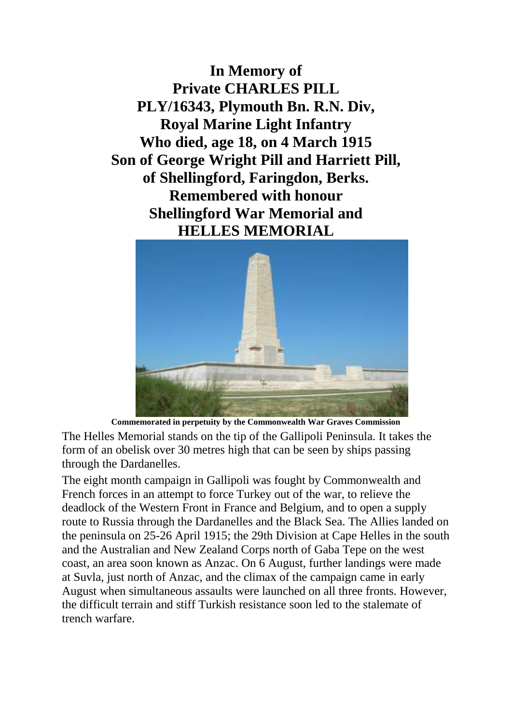**In Memory of Private CHARLES PILL PLY/16343, Plymouth Bn. R.N. Div, Royal Marine Light Infantry Who died, age 18, on 4 March 1915 Son of George Wright Pill and Harriett Pill, of Shellingford, Faringdon, Berks. Remembered with honour Shellingford War Memorial and HELLES MEMORIAL**



**Commemorated in perpetuity by the Commonwealth War Graves Commission**  The Helles Memorial stands on the tip of the Gallipoli Peninsula. It takes the form of an obelisk over 30 metres high that can be seen by ships passing through the Dardanelles.

The eight month campaign in Gallipoli was fought by Commonwealth and French forces in an attempt to force Turkey out of the war, to relieve the deadlock of the Western Front in France and Belgium, and to open a supply route to Russia through the Dardanelles and the Black Sea. The Allies landed on the peninsula on 25-26 April 1915; the 29th Division at Cape Helles in the south and the Australian and New Zealand Corps north of Gaba Tepe on the west coast, an area soon known as Anzac. On 6 August, further landings were made at Suvla, just north of Anzac, and the climax of the campaign came in early August when simultaneous assaults were launched on all three fronts. However, the difficult terrain and stiff Turkish resistance soon led to the stalemate of trench warfare.